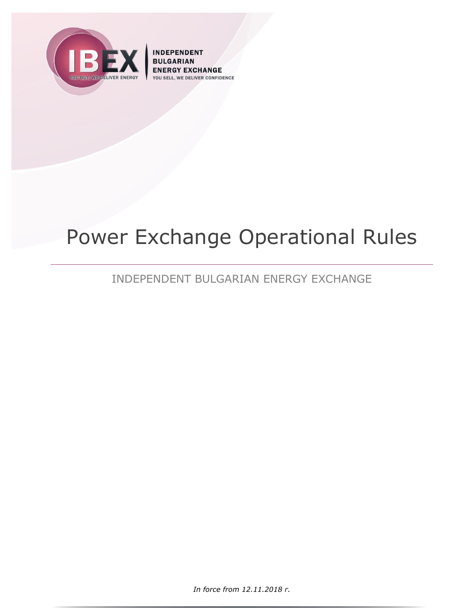

**INDEPENDENT BULGARIAN EXCHANGE IVER CONFIDENCE** YOU S

# Power Exchange Operational Rules

# INDEPENDENT BULGARIAN ENERGY EXCHANGE

*In force from 12.11.2018 г.*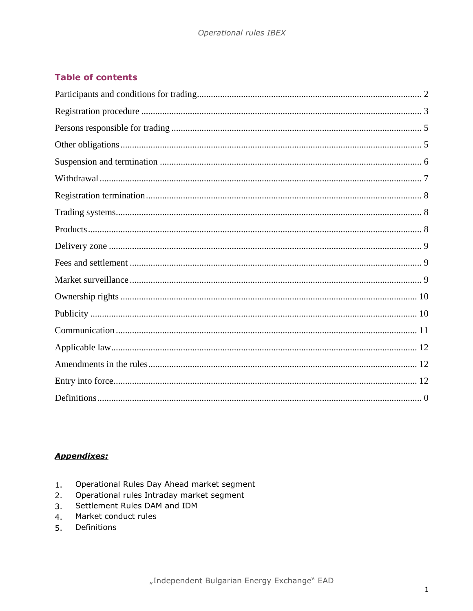# **Table of contents**

# **Appendixes:**

- Operational Rules Day Ahead market segment  $1.$
- Operational rules Intraday market segment  $2.$
- Settlement Rules DAM and IDM  $3.$
- Market conduct rules  $4.$
- Definitions 5.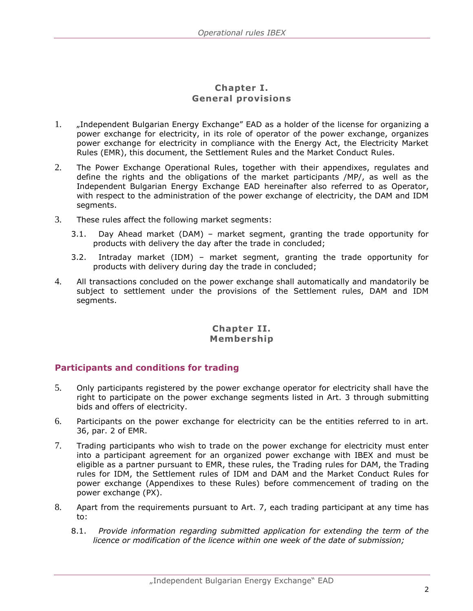#### **Chapter I. General provisions**

- 1. "Independent Bulgarian Energy Exchange" EAD as a holder of the license for organizing a power exchange for electricity, in its role of operator of the power exchange, organizes power exchange for electricity in compliance with the Energy Act, the Electricity Market Rules (EMR), this document, the Settlement Rules and the Market Conduct Rules.
- 2. The Power Exchange Operational Rules, together with their appendixes, regulates and define the rights and the obligations of the market participants /MP/, as well as the Independent Bulgarian Energy Exchange EAD hereinafter also referred to as Operator, with respect to the administration of the power exchange of electricity, the DAM and IDM segments.
- 3. These rules affect the following market segments:
	- 3.1. Day Ahead market (DAM) market segment, granting the trade opportunity for products with delivery the day after the trade in concluded;
	- 3.2. Intraday market (IDM) market segment, granting the trade opportunity for products with delivery during day the trade in concluded;
- 4. All transactions concluded on the power exchange shall automatically and mandatorily be subject to settlement under the provisions of the Settlement rules, DAM and IDM segments.

#### **Chapter II. Membership**

#### <span id="page-2-0"></span>**Participants and conditions for trading**

- 5. Only participants registered by the power exchange operator for electricity shall have the right to participate on the power exchange segments listed in Art. 3 through submitting bids and offers of electricity.
- 6. Participants on the power exchange for electricity can be the entities referred to in art. 36, par. 2 of EMR.
- 7. Trading participants who wish to trade on the power exchange for electricity must enter into a participant agreement for an organized power exchange with IBEX and must be eligible as a partner pursuant to EMR, these rules, the Trading rules for DAM, the Trading rules for IDM, the Settlement rules of IDM and DAM and the Market Conduct Rules for power exchange (Appendixes to these Rules) before commencement of trading on the power exchange (PX).
- 8. Apart from the requirements pursuant to Art. 7, each trading participant at any time has to:
	- 8.1. *Provide information regarding submitted application for extending the term of the licence or modification of the licence within one week of the date of submission;*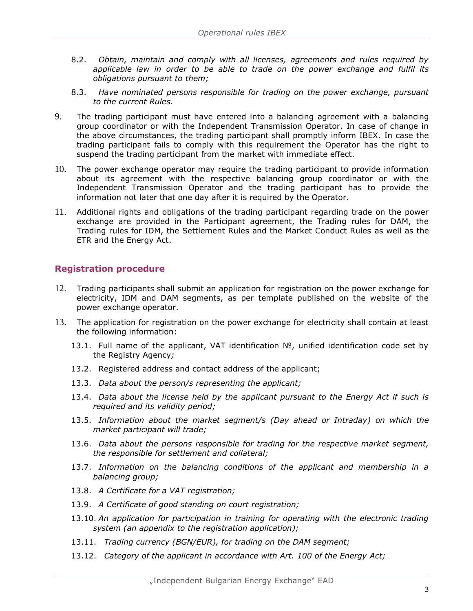- 8.2. *Obtain, maintain and comply with all licenses, agreements and rules required by applicable law in order to be able to trade on the power exchange and fulfil its obligations pursuant to them;*
- 8.3. *Have nominated persons responsible for trading on the power exchange, pursuant to the current Rules.*
- 9. The trading participant must have entered into a balancing agreement with a balancing group coordinator or with the Independent Transmission Operator. In case of change in the above circumstances, the trading participant shall promptly inform IBEX. In case the trading participant fails to comply with this requirement the Operator has the right to suspend the trading participant from the market with immediate effect.
- 10. The power exchange operator may require the trading participant to provide information about its agreement with the respective balancing group coordinator or with the Independent Transmission Operator and the trading participant has to provide the information not later that one day after it is required by the Operator.
- 11. Additional rights and obligations of the trading participant regarding trade on the power exchange are provided in the Participant agreement, the Trading rules for DAM, the Trading rules for IDM, the Settlement Rules and the Market Conduct Rules as well as the ETR and the Energy Act.

#### <span id="page-3-0"></span>**Registration procedure**

- 12. Trading participants shall submit an application for registration on the power exchange for electricity, IDM and DAM segments, as per template published on the website of the power exchange operator.
- 13. The application for registration on the power exchange for electricity shall contain at least the following information:
	- 13.1. Full name of the applicant, VAT identification №, unified identification code set by the Registry Agency*;*
	- 13.2. Registered address and contact address of the applicant;
	- 13.3. *Data about the person/s representing the applicant;*
	- 13.4. *Data about the license held by the applicant pursuant to the Energy Act if such is required and its validity period;*
	- 13.5. *Information about the market segment/s (Day ahead or Intraday) on which the market participant will trade;*
	- 13.6. *Data about the persons responsible for trading for the respective market segment, the responsible for settlement and collateral;*
	- 13.7. *Information on the balancing conditions of the applicant and membership in a balancing group;*
	- 13.8. *A Certificate for a VAT registration;*
	- 13.9. *A Certificate of good standing on court registration;*
	- 13.10. *An application for participation in training for operating with the electronic trading system (an appendix to the registration application);*
	- 13.11. *Trading currency (BGN/EUR), for trading on the DAM segment;*
	- 13.12. *Category of the applicant in accordance with Art. 100 of the Energy Act;*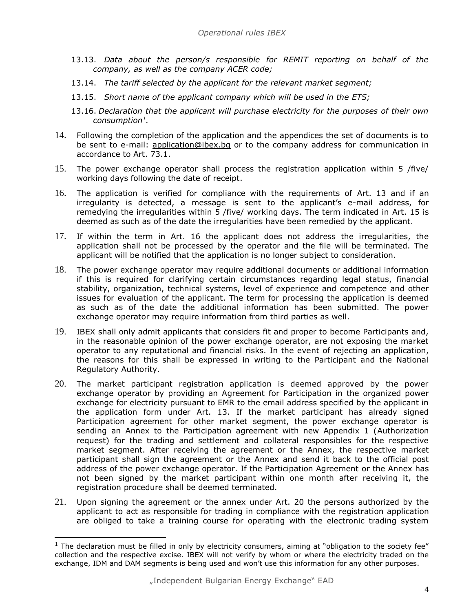- 13.13. *Data about the person/s responsible for REMIT reporting on behalf of the company, as well as the company ACER code;*
- 13.14. *The tariff selected by the applicant for the relevant market segment;*
- 13.15. *Short name of the applicant company which will be used in the ETS;*
- 13.16. *Declaration that the applicant will purchase electricity for the purposes of their own consumption<sup>1</sup> .*
- 14. Following the completion of the application and the appendices the set of documents is to be sent to e-mail: application@ibex.bq or to the company address for communication in accordance to Art. 73.1.
- 15. The power exchange operator shall process the registration application within 5 /five/ working days following the date of receipt.
- 16. The application is verified for compliance with the requirements of Art. 13 and if an irregularity is detected, a message is sent to the applicant's e-mail address, for remedying the irregularities within 5 /five/ working days. The term indicated in Art. 15 is deemed as such as of the date the irregularities have been remedied by the applicant.
- 17. If within the term in Art. 16 the applicant does not address the irregularities, the application shall not be processed by the operator and the file will be terminated. The applicant will be notified that the application is no longer subject to consideration.
- 18. The power exchange operator may require additional documents or additional information if this is required for clarifying certain circumstances regarding legal status, financial stability, organization, technical systems, level of experience and competence and other issues for evaluation of the applicant. The term for processing the application is deemed as such as of the date the additional information has been submitted. The power exchange operator may require information from third parties as well.
- 19. IBEX shall only admit applicants that considers fit and proper to become Participants and, in the reasonable opinion of the power exchange operator, are not exposing the market operator to any reputational and financial risks. In the event of rejecting an application, the reasons for this shall be expressed in writing to the Participant and the National Regulatory Authority.
- 20. The market participant registration application is deemed approved by the power exchange operator by providing an Agreement for Participation in the organized power exchange for electricity pursuant to EMR to the email address specified by the applicant in the application form under Art. 13. If the market participant has already signed Participation agreement for other market segment, the power exchange operator is sending an Annex to the Participation agreement with new Appendix 1 (Authorization request) for the trading and settlement and collateral responsibles for the respective market segment. After receiving the agreement or the Annex, the respective market participant shall sign the agreement or the Annex and send it back to the official post address of the power exchange operator. If the Participation Agreement or the Annex has not been signed by the market participant within one month after receiving it, the registration procedure shall be deemed terminated.
- 21. Upon signing the agreement or the annex under Art. 20 the persons authorized by the applicant to act as responsible for trading in compliance with the registration application are obliged to take a training course for operating with the electronic trading system

ł

 $<sup>1</sup>$  The declaration must be filled in only by electricity consumers, aiming at "obligation to the society fee"</sup> collection and the respective excise. IBEX will not verify by whom or where the electricity traded on the exchange, IDM and DAM segments is being used and won't use this information for any other purposes.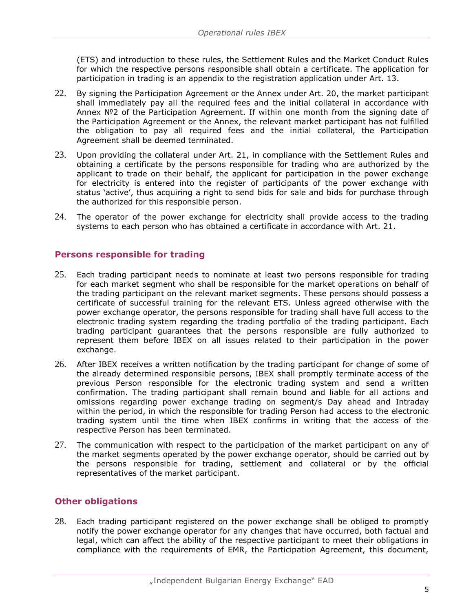(ETS) and introduction to these rules, the Settlement Rules and the Market Conduct Rules for which the respective persons responsible shall obtain a certificate. The application for participation in trading is an appendix to the registration application under Art. 13.

- 22. By signing the Participation Agreement or the Annex under Art. 20, the market participant shall immediately pay all the required fees and the initial collateral in accordance with Annex №2 of the Participation Agreement. If within one month from the signing date of the Participation Agreement or the Annex, the relevant market participant has not fulfilled the obligation to pay all required fees and the initial collateral, the Participation Agreement shall be deemed terminated.
- 23. Upon providing the collateral under Art. 21, in compliance with the Settlement Rules and obtaining a certificate by the persons responsible for trading who are authorized by the applicant to trade on their behalf, the applicant for participation in the power exchange for electricity is entered into the register of participants of the power exchange with status 'active', thus acquiring a right to send bids for sale and bids for purchase through the authorized for this responsible person.
- 24. The operator of the power exchange for electricity shall provide access to the trading systems to each person who has obtained a certificate in accordance with Art. 21.

#### <span id="page-5-0"></span>**Persons responsible for trading**

- 25. Each trading participant needs to nominate at least two persons responsible for trading for each market segment who shall be responsible for the market operations on behalf of the trading participant on the relevant market segments. These persons should possess a certificate of successful training for the relevant ETS. Unless agreed otherwise with the power exchange operator, the persons responsible for trading shall have full access to the electronic trading system regarding the trading portfolio of the trading participant. Each trading participant guarantees that the persons responsible are fully authorized to represent them before IBEX on all issues related to their participation in the power exchange.
- 26. After IBEX receives a written notification by the trading participant for change of some of the already determined responsible persons, IBEX shall promptly terminate access of the previous Person responsible for the electronic trading system and send a written confirmation. The trading participant shall remain bound and liable for all actions and omissions regarding power exchange trading on segment/s Day ahead and Intraday within the period, in which the responsible for trading Person had access to the electronic trading system until the time when IBEX confirms in writing that the access of the respective Person has been terminated.
- 27. The communication with respect to the participation of the market participant on any of the market segments operated by the power exchange operator, should be carried out by the persons responsible for trading, settlement and collateral or by the official representatives of the market participant.

# <span id="page-5-1"></span>**Other obligations**

28. Each trading participant registered on the power exchange shall be obliged to promptly notify the power exchange operator for any changes that have occurred, both factual and legal, which can affect the ability of the respective participant to meet their obligations in compliance with the requirements of EMR, the Participation Agreement, this document,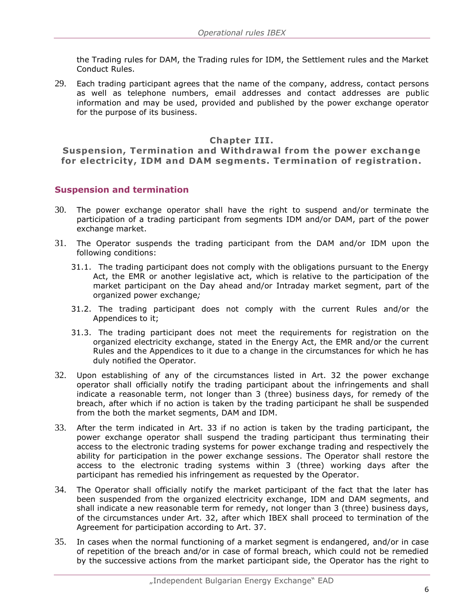the Trading rules for DAM, the Trading rules for IDM, the Settlement rules and the Market Conduct Rules.

29. Each trading participant agrees that the name of the company, address, contact persons as well as telephone numbers, email addresses and contact addresses are public information and may be used, provided and published by the power exchange operator for the purpose of its business.

#### **Chapter III.**

**Suspension, Termination and Withdrawal from the power exchange for electricity, IDM and DAM segments. Termination of registration.**

#### <span id="page-6-0"></span>**Suspension and termination**

- 30. The power exchange operator shall have the right to suspend and/or terminate the participation of a trading participant from segments IDM and/or DAM, part of the power exchange market.
- 31. The Operator suspends the trading participant from the DAM and/or IDM upon the following conditions:
	- 31.1. The trading participant does not comply with the obligations pursuant to the Energy Act, the EMR or another legislative act, which is relative to the participation of the market participant on the Day ahead and/or Intraday market segment, part of the organized power exchange*;*
	- 31.2. The trading participant does not comply with the current Rules and/or the Appendices to it;
	- 31.3. The trading participant does not meet the requirements for registration on the organized electricity exchange, stated in the Energy Act, the EMR and/or the current Rules and the Appendices to it due to a change in the circumstances for which he has duly notified the Operator.
- 32. Upon establishing of any of the circumstances listed in Art. 32 the power exchange operator shall officially notify the trading participant about the infringements and shall indicate a reasonable term, not longer than 3 (three) business days, for remedy of the breach, after which if no action is taken by the trading participant he shall be suspended from the both the market segments, DAM and IDM.
- 33. After the term indicated in Art. 33 if no action is taken by the trading participant, the power exchange operator shall suspend the trading participant thus terminating their access to the electronic trading systems for power exchange trading and respectively the ability for participation in the power exchange sessions. The Operator shall restore the access to the electronic trading systems within 3 (three) working days after the participant has remedied his infringement as requested by the Operator.
- 34. The Operator shall officially notify the market participant of the fact that the later has been suspended from the organized electricity exchange, IDM and DAM segments, and shall indicate a new reasonable term for remedy, not longer than 3 (three) business days, of the circumstances under Art. 32, after which IBEX shall proceed to termination of the Agreement for participation according to Art. 37.
- 35. In cases when the normal functioning of a market segment is endangered, and/or in case of repetition of the breach and/or in case of formal breach, which could not be remedied by the successive actions from the market participant side, the Operator has the right to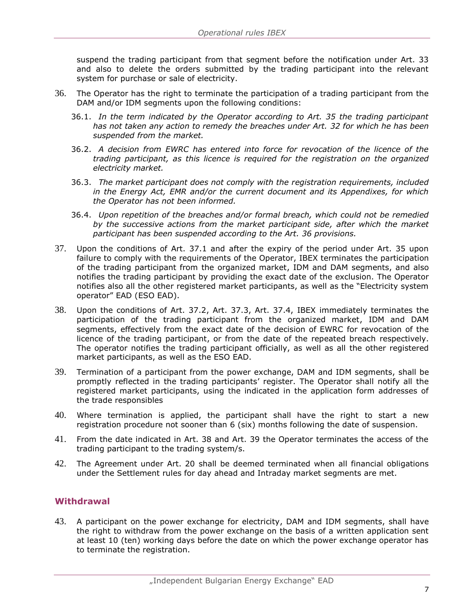suspend the trading participant from that segment before the notification under Art. 33 and also to delete the orders submitted by the trading participant into the relevant system for purchase or sale of electricity.

- 36. The Operator has the right to terminate the participation of a trading participant from the DAM and/or IDM segments upon the following conditions:
	- 36.1. *In the term indicated by the Operator according to Art. 35 the trading participant has not taken any action to remedy the breaches under Art. 32 for which he has been suspended from the market.*
	- 36.2. *A decision from EWRC has entered into force for revocation of the licence of the trading participant, as this licence is required for the registration on the organized electricity market.*
	- 36.3. *The market participant does not comply with the registration requirements, included in the Energy Act, EMR and/or the current document and its Appendixes, for which the Operator has not been informed.*
	- 36.4. *Upon repetition of the breaches and/or formal breach, which could not be remedied by the successive actions from the market participant side, after which the market participant has been suspended according to the Art. 36 provisions.*
- 37. Upon the conditions of Art. 37.1 and after the expiry of the period under Art. 35 upon failure to comply with the requirements of the Operator, IBEX terminates the participation of the trading participant from the organized market, IDM and DAM segments, and also notifies the trading participant by providing the exact date of the exclusion. The Operator notifies also all the other registered market participants, as well as the "Electricity system operator" EAD (ESO EAD).
- 38. Upon the conditions of Art. 37.2, Art. 37.3, Art. 37.4, IBEX immediately terminates the participation of the trading participant from the organized market, IDM and DAM segments, effectively from the exact date of the decision of EWRC for revocation of the licence of the trading participant, or from the date of the repeated breach respectively. The operator notifies the trading participant officially, as well as all the other registered market participants, as well as the ESO EAD.
- 39. Termination of a participant from the power exchange, DAM and IDM segments, shall be promptly reflected in the trading participants' register. The Operator shall notify all the registered market participants, using the indicated in the application form addresses of the trade responsibles
- 40. Where termination is applied, the participant shall have the right to start a new registration procedure not sooner than 6 (six) months following the date of suspension.
- 41. From the date indicated in Art. 38 and Art. 39 the Operator terminates the access of the trading participant to the trading system/s.
- 42. The Agreement under Art. 20 shall be deemed terminated when all financial obligations under the Settlement rules for day ahead and Intraday market segments are met.

#### <span id="page-7-0"></span>**Withdrawal**

43. A participant on the power exchange for electricity, DAM and IDM segments, shall have the right to withdraw from the power exchange on the basis of a written application sent at least 10 (ten) working days before the date on which the power exchange operator has to terminate the registration.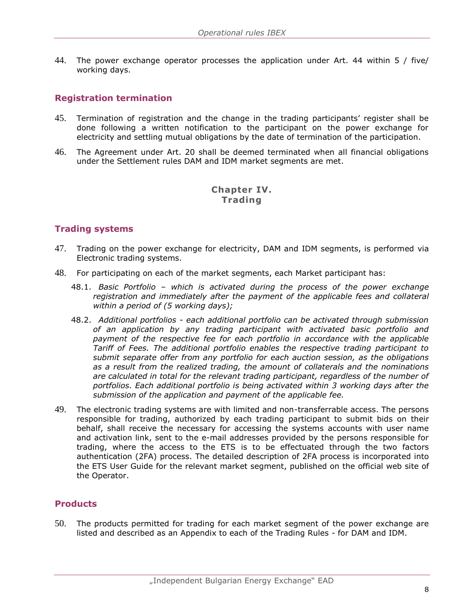44. The power exchange operator processes the application under Art. 44 within 5 / five/ working days.

### <span id="page-8-0"></span>**Registration termination**

- 45. Termination of registration and the change in the trading participants' register shall be done following a written notification to the participant on the power exchange for electricity and settling mutual obligations by the date of termination of the participation.
- 46. The Agreement under Art. 20 shall be deemed terminated when all financial obligations under the Settlement rules DAM and IDM market segments are met.

#### **Chapter IV. Trading**

#### <span id="page-8-1"></span>**Trading systems**

- 47. Trading on the power exchange for electricity, DAM and IDM segments, is performed via Electronic trading systems.
- 48. For participating on each of the market segments, each Market participant has:
	- 48.1. *Basic Portfolio – which is activated during the process of the power exchange*  registration and immediately after the payment of the applicable fees and collateral *within a period of (5 working days);*
	- 48.2. *Additional portfolios - each additional portfolio can be activated through submission of an application by any trading participant with activated basic portfolio and payment of the respective fee for each portfolio in accordance with the applicable Tariff of Fees. The additional portfolio enables the respective trading participant to submit separate offer from any portfolio for each auction session, as the obligations as a result from the realized trading, the amount of collaterals and the nominations are calculated in total for the relevant trading participant, regardless of the number of portfolios. Each additional portfolio is being activated within 3 working days after the submission of the application and payment of the applicable fee.*
- 49. The electronic trading systems are with limited and non-transferrable access. The persons responsible for trading, authorized by each trading participant to submit bids on their behalf, shall receive the necessary for accessing the systems accounts with user name and activation link, sent to the e-mail addresses provided by the persons responsible for trading, where the access to the ETS is to be effectuated through the two factors authentication (2FA) process. The detailed description of 2FA process is incorporated into the ETS User Guide for the relevant market segment, published on the official web site of the Operator.

#### <span id="page-8-2"></span>**Products**

50. The products permitted for trading for each market segment of the power exchange are listed and described as an Appendix to each of the Trading Rules - for DAM and IDM.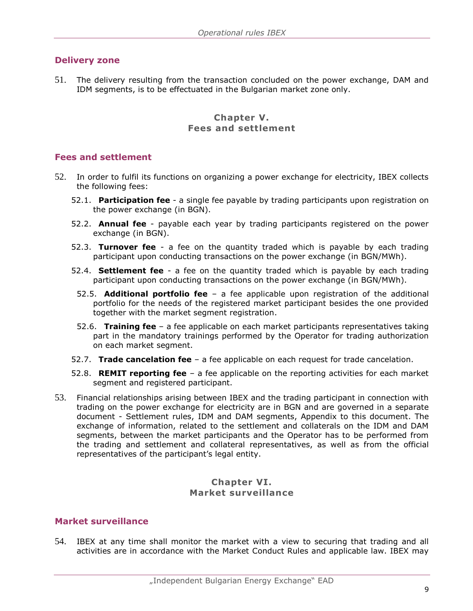#### <span id="page-9-0"></span>**Delivery zone**

51. The delivery resulting from the transaction concluded on the power exchange, DAM and IDM segments, is to be effectuated in the Bulgarian market zone only.

#### **Chapter V. Fees and settlement**

#### <span id="page-9-1"></span>**Fees and settlement**

- 52. In order to fulfil its functions on organizing a power exchange for electricity, IBEX collects the following fees:
	- 52.1. **Participation fee** a single fee payable by trading participants upon registration on the power exchange (in BGN).
	- 52.2. **Annual fee** payable each year by trading participants registered on the power exchange (in BGN).
	- 52.3. **Turnover fee** a fee on the quantity traded which is payable by each trading participant upon conducting transactions on the power exchange (in BGN/MWh).
	- 52.4. **Settlement fee** a fee on the quantity traded which is payable by each trading participant upon conducting transactions on the power exchange (in BGN/MWh).
		- 52.5. **Additional portfolio fee** a fee applicable upon registration of the additional portfolio for the needs of the registered market participant besides the one provided together with the market segment registration.
		- 52.6. **Training fee** a fee applicable on each market participants representatives taking part in the mandatory trainings performed by the Operator for trading authorization on each market segment.
	- 52.7. **Trade cancelation fee** a fee applicable on each request for trade cancelation.
	- 52.8. **REMIT reporting fee** a fee applicable on the reporting activities for each market segment and registered participant.
- 53. Financial relationships arising between IBEX and the trading participant in connection with trading on the power exchange for electricity are in BGN and are governed in a separate document - Settlement rules, IDM and DAM segments, Appendix to this document. The exchange of information, related to the settlement and collaterals on the IDM and DAM segments, between the market participants and the Operator has to be performed from the trading and settlement and collateral representatives, as well as from the official representatives of the participant's legal entity.

#### **Chapter VI. Market surveillance**

#### <span id="page-9-2"></span>**Market surveillance**

54. IBEX at any time shall monitor the market with a view to securing that trading and all activities are in accordance with the Market Conduct Rules and applicable law. IBEX may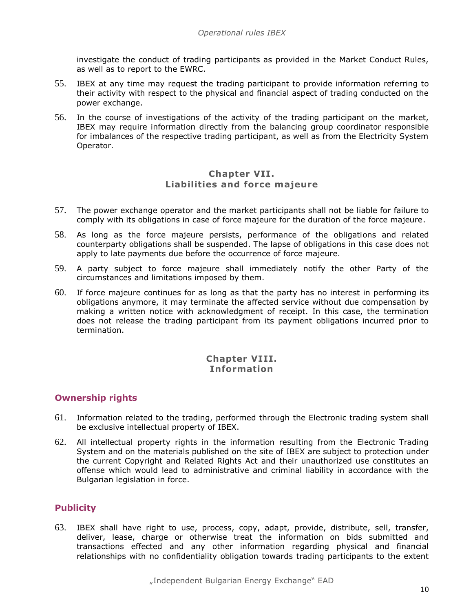investigate the conduct of trading participants as provided in the Market Conduct Rules, as well as to report to the EWRC.

- 55. IBEX at any time may request the trading participant to provide information referring to their activity with respect to the physical and financial aspect of trading conducted on the power exchange.
- 56. In the course of investigations of the activity of the trading participant on the market, IBEX may require information directly from the balancing group coordinator responsible for imbalances of the respective trading participant, as well as from the Electricity System Operator.

#### **Chapter VII. Liabilities and force majeure**

- 57. The power exchange operator and the market participants shall not be liable for failure to comply with its obligations in case of force majeure for the duration of the force majeure.
- 58. As long as the force majeure persists, performance of the obligations and related counterparty obligations shall be suspended. The lapse of obligations in this case does not apply to late payments due before the occurrence of force majeure.
- 59. A party subject to force majeure shall immediately notify the other Party of the circumstances and limitations imposed by them.
- 60. If force majeure continues for as long as that the party has no interest in performing its obligations anymore, it may terminate the affected service without due compensation by making a written notice with acknowledgment of receipt. In this case, the termination does not release the trading participant from its payment obligations incurred prior to termination.

#### **Chapter VIII. Information**

#### <span id="page-10-0"></span>**Ownership rights**

- 61. Information related to the trading, performed through the Electronic trading system shall be exclusive intellectual property of IBEX.
- 62. All intellectual property rights in the information resulting from the Electronic Trading System and on the materials published on the site of IBEX are subject to protection under the current Copyright and Related Rights Act and their unauthorized use constitutes an offense which would lead to administrative and criminal liability in accordance with the Bulgarian legislation in force.

# <span id="page-10-1"></span>**Publicity**

63. IBEX shall have right to use, process, copy, adapt, provide, distribute, sell, transfer, deliver, lease, charge or otherwise treat the information on bids submitted and transactions effected and any other information regarding physical and financial relationships with no confidentiality obligation towards trading participants to the extent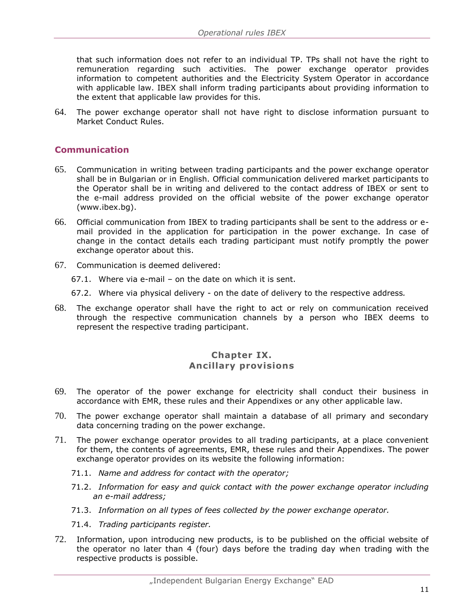that such information does not refer to an individual TP. TPs shall not have the right to remuneration regarding such activities. The power exchange operator provides information to competent authorities and the Electricity System Operator in accordance with applicable law. IBEX shall inform trading participants about providing information to the extent that applicable law provides for this.

64. The power exchange operator shall not have right to disclose information pursuant to Market Conduct Rules.

#### <span id="page-11-0"></span>**Communication**

- 65. Communication in writing between trading participants and the power exchange operator shall be in Bulgarian or in English. Official communication delivered market participants to the Operator shall be in writing and delivered to the contact address of IBEX or sent to the e-mail address provided on the official website of the power exchange operator (www.ibex.bg).
- 66. Official communication from IBEX to trading participants shall be sent to the address or email provided in the application for participation in the power exchange. In case of change in the contact details each trading participant must notify promptly the power exchange operator about this.
- 67. Communication is deemed delivered:
	- 67.1. Where via e-mail on the date on which it is sent.
	- 67.2. Where via physical delivery on the date of delivery to the respective address*.*
- 68. The exchange operator shall have the right to act or rely on communication received through the respective communication channels by a person who IBEX deems to represent the respective trading participant.

#### **Chapter IX. Ancillary provisions**

- 69. The operator of the power exchange for electricity shall conduct their business in accordance with EMR, these rules and their Appendixes or any other applicable law.
- 70. The power exchange operator shall maintain a database of all primary and secondary data concerning trading on the power exchange.
- 71. The power exchange operator provides to all trading participants, at a place convenient for them, the contents of agreements, EMR, these rules and their Appendixes. The power exchange operator provides on its website the following information:
	- 71.1. *Name and address for contact with the operator;*
	- 71.2. *Information for easy and quick contact with the power exchange operator including an e-mail address;*
	- 71.3. *Information on all types of fees collected by the power exchange operator.*
	- 71.4. *Trading participants register.*
- 72. Information, upon introducing new products, is to be published on the official website of the operator no later than 4 (four) days before the trading day when trading with the respective products is possible.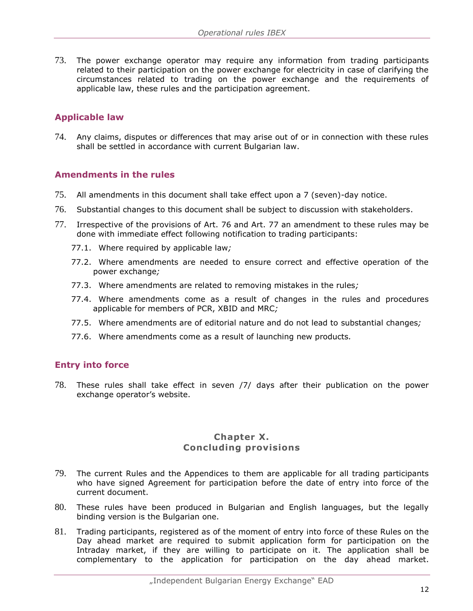73. The power exchange operator may require any information from trading participants related to their participation on the power exchange for electricity in case of clarifying the circumstances related to trading on the power exchange and the requirements of applicable law, these rules and the participation agreement.

#### <span id="page-12-0"></span>**Applicable law**

74. Any claims, disputes or differences that may arise out of or in connection with these rules shall be settled in accordance with current Bulgarian law.

#### <span id="page-12-1"></span>**Amendments in the rules**

- 75. All amendments in this document shall take effect upon a 7 (seven)-day notice.
- 76. Substantial changes to this document shall be subject to discussion with stakeholders.
- 77. Irrespective of the provisions of Art. 76 and Art. 77 an amendment to these rules may be done with immediate effect following notification to trading participants:
	- 77.1. Where required by applicable law*;*
	- 77.2. Where amendments are needed to ensure correct and effective operation of the power exchange*;*
	- 77.3. Where amendments are related to removing mistakes in the rules*;*
	- 77.4. Where amendments come as a result of changes in the rules and procedures applicable for members of PCR, XBID and MRC*;*
	- 77.5. Where amendments are of editorial nature and do not lead to substantial changes*;*
	- 77.6. Where amendments come as a result of launching new products*.*

#### <span id="page-12-2"></span>**Entry into force**

78. These rules shall take effect in seven /7/ days after their publication on the power exchange operator's website.

#### **Chapter X. Concluding provisions**

- 79. The current Rules and the Appendices to them are applicable for all trading participants who have signed Agreement for participation before the date of entry into force of the current document.
- 80. These rules have been produced in Bulgarian and English languages, but the legally binding version is the Bulgarian one.
- 81. Trading participants, registered as of the moment of entry into force of these Rules on the Day ahead market are required to submit application form for participation on the Intraday market, if they are willing to participate on it. The application shall be complementary to the application for participation on the day ahead market.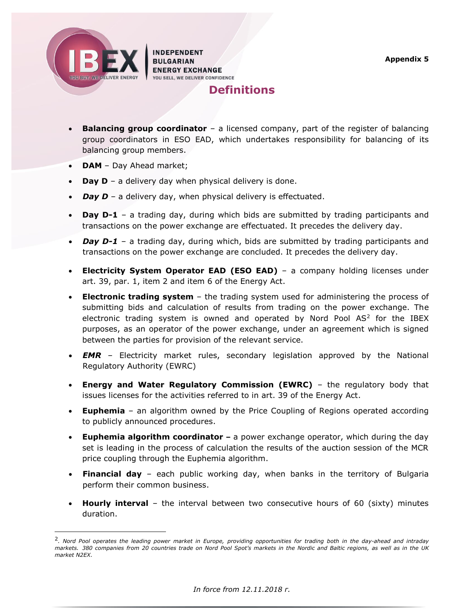<span id="page-13-0"></span>

ł

**INDEPENDENT BULGARIAN ENERGY EXCHANGE** YOU SELL, WE DELIVER CONFIDENCE



- **Balancing group coordinator** a licensed company, part of the register of balancing group coordinators in ESO EAD, which undertakes responsibility for balancing of its balancing group members.
- **DAM**  Day Ahead market;
- **Day D** a delivery day when physical delivery is done.
- *Day D* a delivery day, when physical delivery is effectuated.
- **Day D-1** a trading day, during which bids are submitted by trading participants and transactions on the power exchange are effectuated. It precedes the delivery day.
- *Day D-1* a trading day, during which, bids are submitted by trading participants and transactions on the power exchange are concluded. It precedes the delivery day.
- **Electricity System Operator EAD (ESO EAD)** a company holding licenses under art. 39, par. 1, item 2 and item 6 of the Energy Act.
- **Electronic trading system** the trading system used for administering the process of submitting bids and calculation of results from trading on the power exchange. The electronic trading system is owned and operated by Nord Pool  $AS<sup>2</sup>$  for the IBEX purposes, as an operator of the power exchange, under an agreement which is signed between the parties for provision of the relevant service.
- *EMR*  Electricity market rules, secondary legislation approved by the National Regulatory Authority (EWRC)
- **Energy and Water Regulatory Commission (EWRC)** the regulatory body that issues licenses for the activities referred to in art. 39 of the Energy Act.
- **Euphemia**  an algorithm owned by the Price Coupling of Regions operated according to publicly announced procedures.
- **Euphemia algorithm coordinator –** a power exchange operator, which during the day set is leading in the process of calculation the results of the auction session of the MCR price coupling through the Euphemia algorithm.
- **Financial day** each public working day, when banks in the territory of Bulgaria perform their common business.
- **Hourly interval** the interval between two consecutive hours of 60 (sixty) minutes duration.

<sup>2</sup> *. Nord Pool operates the leading power market in Europe, providing opportunities for trading both in the day-ahead and intraday markets. 380 companies from 20 countries trade on Nord Pool Spot's markets in the Nordic and Baltic regions, as well as in the UK market N2EX.*